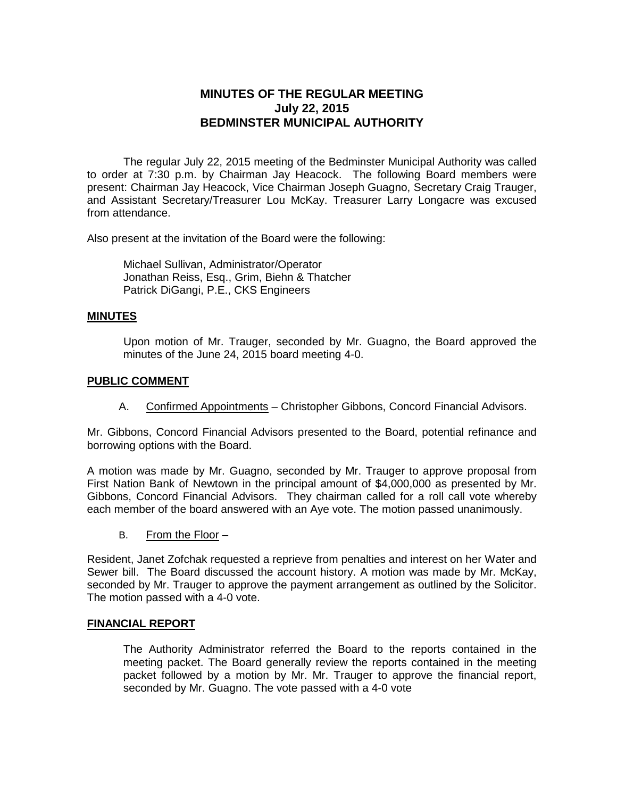# **MINUTES OF THE REGULAR MEETING July 22, 2015 BEDMINSTER MUNICIPAL AUTHORITY**

The regular July 22, 2015 meeting of the Bedminster Municipal Authority was called to order at 7:30 p.m. by Chairman Jay Heacock. The following Board members were present: Chairman Jay Heacock, Vice Chairman Joseph Guagno, Secretary Craig Trauger, and Assistant Secretary/Treasurer Lou McKay. Treasurer Larry Longacre was excused from attendance.

Also present at the invitation of the Board were the following:

Michael Sullivan, Administrator/Operator Jonathan Reiss, Esq., Grim, Biehn & Thatcher Patrick DiGangi, P.E., CKS Engineers

## **MINUTES**

Upon motion of Mr. Trauger, seconded by Mr. Guagno, the Board approved the minutes of the June 24, 2015 board meeting 4-0.

#### **PUBLIC COMMENT**

A. Confirmed Appointments – Christopher Gibbons, Concord Financial Advisors.

Mr. Gibbons, Concord Financial Advisors presented to the Board, potential refinance and borrowing options with the Board.

A motion was made by Mr. Guagno, seconded by Mr. Trauger to approve proposal from First Nation Bank of Newtown in the principal amount of \$4,000,000 as presented by Mr. Gibbons, Concord Financial Advisors. They chairman called for a roll call vote whereby each member of the board answered with an Aye vote. The motion passed unanimously.

B. From the Floor –

Resident, Janet Zofchak requested a reprieve from penalties and interest on her Water and Sewer bill. The Board discussed the account history. A motion was made by Mr. McKay, seconded by Mr. Trauger to approve the payment arrangement as outlined by the Solicitor. The motion passed with a 4-0 vote.

## **FINANCIAL REPORT**

The Authority Administrator referred the Board to the reports contained in the meeting packet. The Board generally review the reports contained in the meeting packet followed by a motion by Mr. Mr. Trauger to approve the financial report, seconded by Mr. Guagno. The vote passed with a 4-0 vote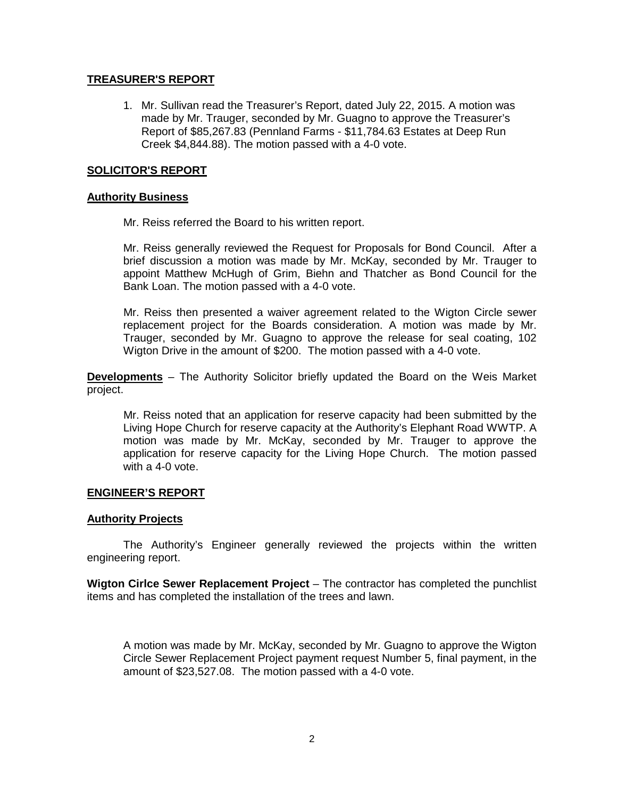## **TREASURER'S REPORT**

1. Mr. Sullivan read the Treasurer's Report, dated July 22, 2015. A motion was made by Mr. Trauger, seconded by Mr. Guagno to approve the Treasurer's Report of \$85,267.83 (Pennland Farms - \$11,784.63 Estates at Deep Run Creek \$4,844.88). The motion passed with a 4-0 vote.

## **SOLICITOR'S REPORT**

#### **Authority Business**

Mr. Reiss referred the Board to his written report.

Mr. Reiss generally reviewed the Request for Proposals for Bond Council. After a brief discussion a motion was made by Mr. McKay, seconded by Mr. Trauger to appoint Matthew McHugh of Grim, Biehn and Thatcher as Bond Council for the Bank Loan. The motion passed with a 4-0 vote.

Mr. Reiss then presented a waiver agreement related to the Wigton Circle sewer replacement project for the Boards consideration. A motion was made by Mr. Trauger, seconded by Mr. Guagno to approve the release for seal coating, 102 Wigton Drive in the amount of \$200. The motion passed with a 4-0 vote.

**Developments** – The Authority Solicitor briefly updated the Board on the Weis Market project.

Mr. Reiss noted that an application for reserve capacity had been submitted by the Living Hope Church for reserve capacity at the Authority's Elephant Road WWTP. A motion was made by Mr. McKay, seconded by Mr. Trauger to approve the application for reserve capacity for the Living Hope Church. The motion passed with a 4-0 vote.

#### **ENGINEER'S REPORT**

#### **Authority Projects**

The Authority's Engineer generally reviewed the projects within the written engineering report.

**Wigton Cirlce Sewer Replacement Project** – The contractor has completed the punchlist items and has completed the installation of the trees and lawn.

A motion was made by Mr. McKay, seconded by Mr. Guagno to approve the Wigton Circle Sewer Replacement Project payment request Number 5, final payment, in the amount of \$23,527.08. The motion passed with a 4-0 vote.